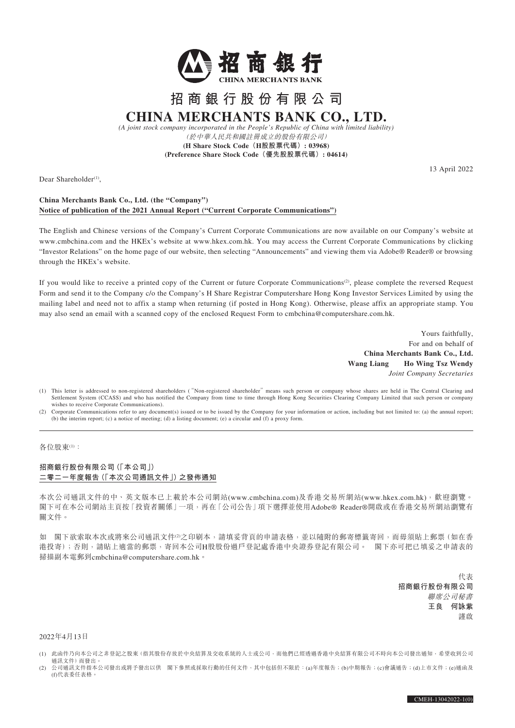

# **招商銀行股份有限公司 CHINA MERCHANTS BANK CO., LTD.**

*(A joint stock company incorporated in the People's Republic of China with limited liability)* (於中華人民共和國註冊成立的股份有限公司) **(H Share Stock Code(H股股票代碼): 03968)**

**(Preference Share Stock Code(優先股股票代碼): 04614)**

Dear Shareholder<sup>(1)</sup>,

13 April 2022

## **China Merchants Bank Co., Ltd. (the "Company") Notice of publication of the 2021 Annual Report ("Current Corporate Communications")**

The English and Chinese versions of the Company's Current Corporate Communications are now available on our Company's website at www.cmbchina.com and the HKEx's website at www.hkex.com.hk. You may access the Current Corporate Communications by clicking "Investor Relations" on the home page of our website, then selecting "Announcements" and viewing them via Adobe® Reader® or browsing through the HKEx's website.

If you would like to receive a printed copy of the Current or future Corporate Communications<sup>(2)</sup>, please complete the reversed Request Form and send it to the Company c/o the Company's H Share Registrar Computershare Hong Kong Investor Services Limited by using the mailing label and need not to affix a stamp when returning (if posted in Hong Kong). Otherwise, please affix an appropriate stamp. You may also send an email with a scanned copy of the enclosed Request Form to cmbchina@computershare.com.hk.

> Yours faithfully, For and on behalf of **China Merchants Bank Co., Ltd. Wang Liang Ho Wing Tsz Wendy** *Joint Company Secretaries*

- (1) This letter is addressed to non-registered shareholders ("Non-registered shareholder" means such person or company whose shares are held in The Central Clearing and Settlement System (CCASS) and who has notified the Company from time to time through Hong Kong Securities Clearing Company Limited that such person or company wishes to receive Corporate Communications).
- (2) Corporate Communications refer to any document(s) issued or to be issued by the Company for your information or action, including but not limited to: (a) the annual report; (b) the interim report; (c) a notice of meeting; (d) a listing document; (e) a circular and (f) a proxy form.

#### 各位股東(1):

### **招商銀行股份有限公司(「本公司」) 二零二一年度報告(「本次公司通訊文件」)之發佈通知**

本次公司通訊文件的中、英文版本已上載於本公司網站(www.cmbchina.com)及香港交易所網站(www.hkex.com.hk),歡迎瀏覽。 閣下可在本公司網站主頁按「投資者關係」一項,再在「公司公告」項下選擇並使用Adobe® Reader®開啟或在香港交易所網站瀏覽有 關文件。

如 閣下欲索取本次或將來公司通訊文件2之印刷本,請填妥背頁的申請表格,並以隨附的郵寄標籤寄回,而毋須貼上郵票(如在香 港投寄);否則,請貼上適當的郵票,寄回本公司H股股份過戶登記處香港中央證券登記有限公司。 閣下亦可把已填妥之申請表的 掃描副本電郵到cmbchina@computershare.com.hk。

> 代表 **招商銀行股份有限公司** 聯席公司秘書 **王良 何詠紫** 謹啟

#### 2022年4月13日

- (1) 此函件乃向本公司之非登記之股東(指其股份存放於中央結算及交收系統的人士或公司,而他們已經透過香港中央結算有限公司不時向本公司發出通知,希望收到公司 通訊文件)而發出。
- (2) 公司通訊文件指本公司發出或將予發出以供 閣下參照或採取行動的任何文件,其中包括但不限於:(a)年度報告;(b)中期報告;(c)會議通告;(d)上市文件;(e)通函及 (f)代表委任表格。